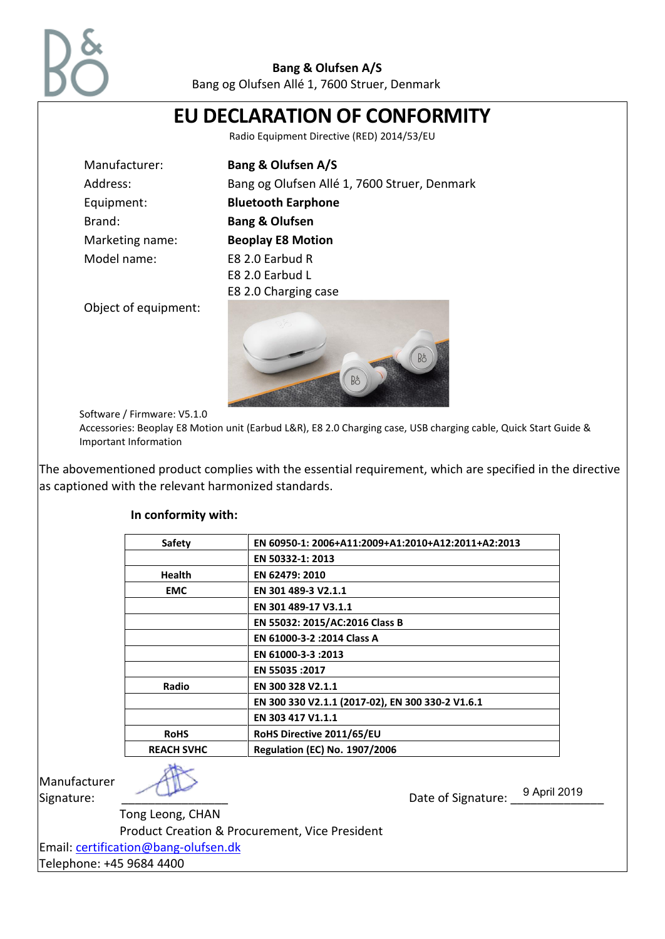

Bang og Olufsen Allé 1, 7600 Struer, Denmark

| EU DECLARATION OF CONFORMITY |                                                                                                                 |
|------------------------------|-----------------------------------------------------------------------------------------------------------------|
|                              | Radio Equipment Directive (RED) 2014/53/EU                                                                      |
| Manufacturer:                | <b>Bang &amp; Olufsen A/S</b>                                                                                   |
| Address:                     | Bang og Olufsen Allé 1, 7600 Struer, Denmark                                                                    |
| Equipment:                   | <b>Bluetooth Earphone</b>                                                                                       |
| Brand:                       | <b>Bang &amp; Olufsen</b>                                                                                       |
| Marketing name:              | <b>Beoplay E8 Motion</b>                                                                                        |
| Model name:                  | E8 2.0 Earbud R                                                                                                 |
|                              | E8 2.0 Earbud L                                                                                                 |
|                              | E8 2.0 Charging case                                                                                            |
| Object of equipment:         | Bo<br>Bo                                                                                                        |
| Software / Firmware: V5.1.0  |                                                                                                                 |
|                              | Accessories: Beoplay E8 Motion unit (Earbud L&R), E8 2.0 Charging case, USB charging cable, Quick Start Guide & |

Important Information

The abovementioned product complies with the essential requirement, which are specified in the directive as captioned with the relevant harmonized standards.

| <b>Safety</b>     | EN 60950-1: 2006+A11:2009+A1:2010+A12:2011+A2:2013 |
|-------------------|----------------------------------------------------|
|                   | EN 50332-1: 2013                                   |
| <b>Health</b>     | EN 62479: 2010                                     |
| <b>EMC</b>        | EN 301 489-3 V2.1.1                                |
|                   | EN 301 489-17 V3.1.1                               |
|                   | EN 55032: 2015/AC:2016 Class B                     |
|                   | EN 61000-3-2 : 2014 Class A                        |
|                   | EN 61000-3-3:2013                                  |
|                   | EN 55035 : 2017                                    |
| Radio             | EN 300 328 V2.1.1                                  |
|                   | EN 300 330 V2.1.1 (2017-02), EN 300 330-2 V1.6.1   |
|                   | EN 303 417 V1.1.1                                  |
| <b>RoHS</b>       | RoHS Directive 2011/65/EU                          |
| <b>REACH SVHC</b> | <b>Regulation (EC) No. 1907/2006</b>               |

Manufacturer

Tong Leong, CHAN

Product Creation & Procurement, Vice President

Email: [certification@bang-olufsen.dk](mailto:certification@bang-olufsen.dk)

Telephone: +45 9684 4400

Signature: \_\_\_\_\_\_\_\_\_\_\_\_\_\_\_\_ Date of Signature: \_\_\_\_\_\_\_\_\_\_\_\_\_\_ 9 April 2019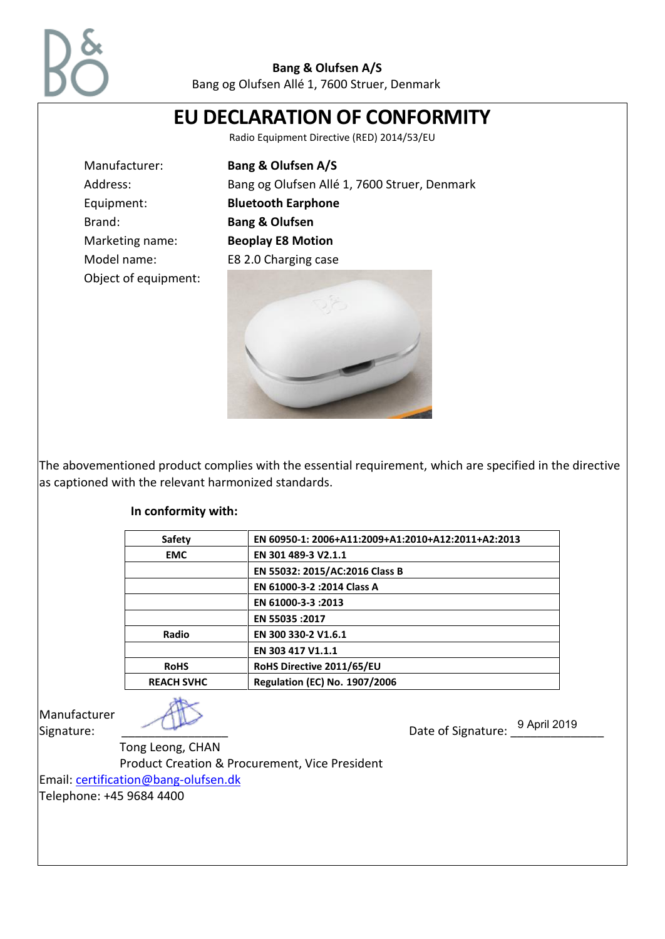

Bang og Olufsen Allé 1, 7600 Struer, Denmark

# **EU DECLARATION OF CONFORMITY**

Radio Equipment Directive (RED) 2014/53/EU

Manufacturer: **Bang & Olufsen A/S** Address: Bang og Olufsen Allé 1, 7600 Struer, Denmark Equipment: **Bluetooth Earphone** Brand: **Bang & Olufsen** Marketing name: **Beoplay E8 Motion** Model name: E8 2.0 Charging case



The abovementioned product complies with the essential requirement, which are specified in the directive as captioned with the relevant harmonized standards.

#### **In conformity with:**

Object of equipment:

| EN 60950-1: 2006+A11:2009+A1:2010+A12:2011+A2:2013 |
|----------------------------------------------------|
|                                                    |
|                                                    |
|                                                    |
|                                                    |
|                                                    |
|                                                    |
|                                                    |
|                                                    |
|                                                    |
|                                                    |

Manufacturer

Signature: \_\_\_\_\_\_\_\_\_\_\_\_\_\_\_\_ Date of Signature: \_\_\_\_\_\_\_\_\_\_\_\_\_\_ 9 April 2019

Tong Leong, CHAN

Product Creation & Procurement, Vice President

## Email: [certification@bang-olufsen.dk](mailto:certification@bang-olufsen.dk)

Telephone: +45 9684 4400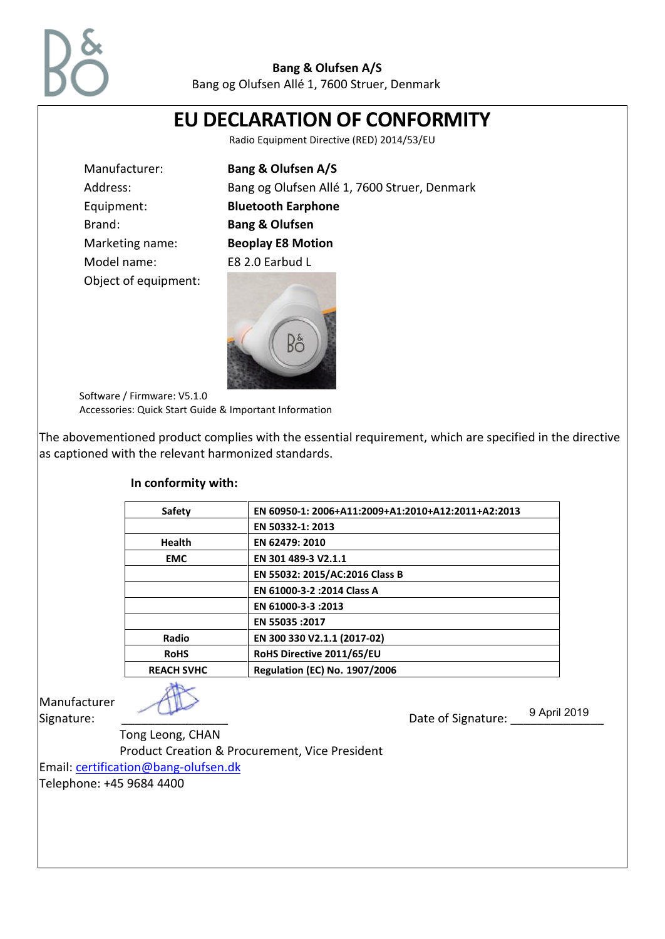

Bang og Olufsen Allé 1, 7600 Struer, Denmark

| <b>EU DECLARATION OF CONFORMITY</b><br>Radio Equipment Directive (RED) 2014/53/EU     |                                                                                                          |
|---------------------------------------------------------------------------------------|----------------------------------------------------------------------------------------------------------|
|                                                                                       |                                                                                                          |
| Manufacturer:                                                                         | <b>Bang &amp; Olufsen A/S</b>                                                                            |
| Address:                                                                              | Bang og Olufsen Allé 1, 7600 Struer, Denmark                                                             |
| Equipment:                                                                            | <b>Bluetooth Earphone</b>                                                                                |
| Brand:                                                                                | <b>Bang &amp; Olufsen</b>                                                                                |
| Marketing name:                                                                       | <b>Beoplay E8 Motion</b>                                                                                 |
| Model name:                                                                           | E8 2.0 Earbud L                                                                                          |
| Object of equipment:                                                                  |                                                                                                          |
| Software / Firmware: V5.1.0<br>Accessories: Quick Start Guide & Important Information |                                                                                                          |
|                                                                                       |                                                                                                          |
| as captioned with the relevant harmonized standards.                                  | The abovementioned product complies with the essential requirement, which are specified in the directive |

### **In conformity with:**

| <b>Safety</b>     | EN 60950-1: 2006+A11:2009+A1:2010+A12:2011+A2:2013 |
|-------------------|----------------------------------------------------|
|                   | EN 50332-1: 2013                                   |
| <b>Health</b>     | EN 62479: 2010                                     |
| <b>EMC</b>        | EN 301 489-3 V2.1.1                                |
|                   | EN 55032: 2015/AC:2016 Class B                     |
|                   | EN 61000-3-2 : 2014 Class A                        |
|                   | EN 61000-3-3:2013                                  |
|                   | EN 55035 : 2017                                    |
| Radio             | EN 300 330 V2.1.1 (2017-02)                        |
| <b>RoHS</b>       | RoHS Directive 2011/65/EU                          |
| <b>REACH SVHC</b> | <b>Regulation (EC) No. 1907/2006</b>               |
|                   |                                                    |

Manufacturer



Signature: \_\_\_\_\_\_\_\_\_\_\_\_\_\_\_\_ Date of Signature: \_\_\_\_\_\_\_\_\_\_\_\_\_\_ 9 April 2019

Tong Leong, CHAN

Product Creation & Procurement, Vice President

Email: [certification@bang-olufsen.dk](mailto:certification@bang-olufsen.dk)

Telephone: +45 9684 4400